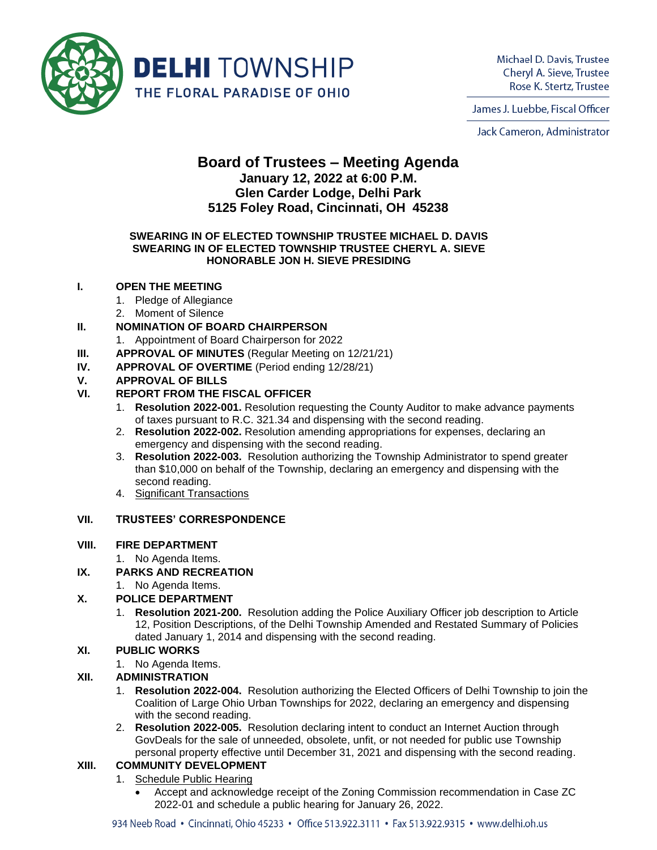

Michael D. Davis, Trustee Cheryl A. Sieve, Trustee Rose K. Stertz, Trustee

James J. Luebbe, Fiscal Officer

Jack Cameron, Administrator

# **Board of Trustees – Meeting Agenda January 12, 2022 at 6:00 P.M. Glen Carder Lodge, Delhi Park 5125 Foley Road, Cincinnati, OH 45238**

#### **SWEARING IN OF ELECTED TOWNSHIP TRUSTEE MICHAEL D. DAVIS SWEARING IN OF ELECTED TOWNSHIP TRUSTEE CHERYL A. SIEVE HONORABLE JON H. SIEVE PRESIDING**

# **I. OPEN THE MEETING**

- 1. Pledge of Allegiance
- 2. Moment of Silence

# **II. NOMINATION OF BOARD CHAIRPERSON**

- 1. Appointment of Board Chairperson for 2022
- **III. APPROVAL OF MINUTES** (Regular Meeting on 12/21/21)
- **IV. APPROVAL OF OVERTIME** (Period ending 12/28/21)

# **V. APPROVAL OF BILLS**

# **VI. REPORT FROM THE FISCAL OFFICER**

- 1. **Resolution 2022-001.** Resolution requesting the County Auditor to make advance payments of taxes pursuant to R.C. 321.34 and dispensing with the second reading.
- 2. **Resolution 2022-002.** Resolution amending appropriations for expenses, declaring an emergency and dispensing with the second reading.
- 3. **Resolution 2022-003.** Resolution authorizing the Township Administrator to spend greater than \$10,000 on behalf of the Township, declaring an emergency and dispensing with the second reading.
- 4. Significant Transactions

### **VII. TRUSTEES' CORRESPONDENCE**

#### **VIII. FIRE DEPARTMENT**

1. No Agenda Items.

#### **IX. PARKS AND RECREATION**

1. No Agenda Items.

#### **X. POLICE DEPARTMENT**

1. **Resolution 2021-200.** Resolution adding the Police Auxiliary Officer job description to Article 12, Position Descriptions, of the Delhi Township Amended and Restated Summary of Policies dated January 1, 2014 and dispensing with the second reading.

#### **XI. PUBLIC WORKS**

1. No Agenda Items.

#### **XII. ADMINISTRATION**

- 1. **Resolution 2022-004.** Resolution authorizing the Elected Officers of Delhi Township to join the Coalition of Large Ohio Urban Townships for 2022, declaring an emergency and dispensing with the second reading.
- 2. **Resolution 2022-005.** Resolution declaring intent to conduct an Internet Auction through GovDeals for the sale of unneeded, obsolete, unfit, or not needed for public use Township personal property effective until December 31, 2021 and dispensing with the second reading.

#### **XIII. COMMUNITY DEVELOPMENT**

- 1. Schedule Public Hearing
	- Accept and acknowledge receipt of the Zoning Commission recommendation in Case ZC 2022-01 and schedule a public hearing for January 26, 2022.